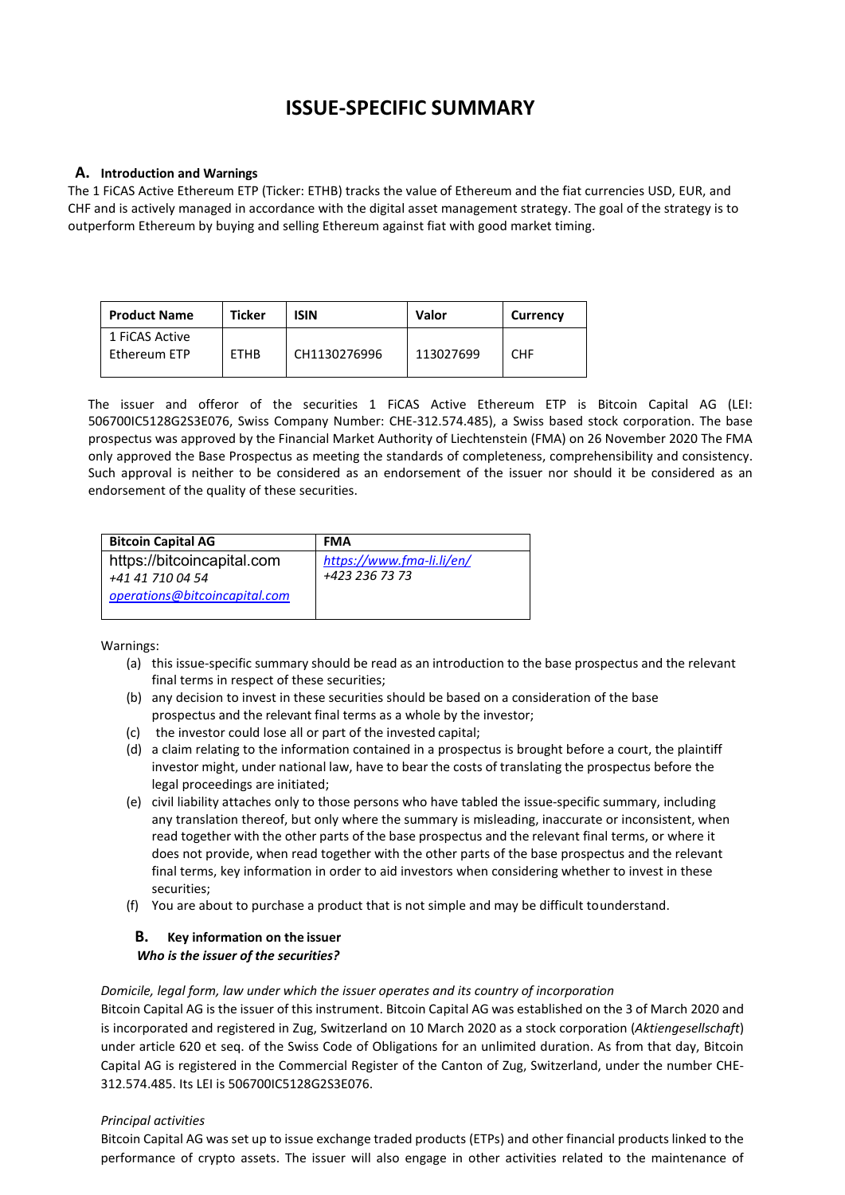# **ISSUE-SPECIFIC SUMMARY**

# **A. Introduction and Warnings**

The 1 FiCAS Active Ethereum ETP (Ticker: ETHB) tracks the value of Ethereum and the fiat currencies USD, EUR, and CHF and is actively managed in accordance with the digital asset management strategy. The goal of the strategy is to outperform Ethereum by buying and selling Ethereum against fiat with good market timing.

| <b>Product Name</b>            | Ticker      | <b>ISIN</b>  | Valor     | <b>Currency</b> |
|--------------------------------|-------------|--------------|-----------|-----------------|
| 1 FICAS Active<br>Ethereum ETP | <b>ETHB</b> | CH1130276996 | 113027699 | <b>CHF</b>      |

The issuer and offeror of the securities 1 FiCAS Active Ethereum ETP is Bitcoin Capital AG (LEI: 506700IC5128G2S3E076, Swiss Company Number: CHE-312.574.485), a Swiss based stock corporation. The base prospectus was approved by the Financial Market Authority of Liechtenstein (FMA) on 26 November 2020 The FMA only approved the Base Prospectus as meeting the standards of completeness, comprehensibility and consistency. Such approval is neither to be considered as an endorsement of the issuer nor should it be considered as an endorsement of the quality of these securities.

| <b>Bitcoin Capital AG</b>     | <b>FMA</b>                |
|-------------------------------|---------------------------|
| https://bitcoincapital.com    | https://www.fma-li.li/en/ |
| +41 41 710 04 54              | +423 236 73 73            |
| operations@bitcoincapital.com |                           |
|                               |                           |

Warnings:

- (a) this issue-specific summary should be read as an introduction to the base prospectus and the relevant final terms in respect of these securities;
- (b) any decision to invest in these securities should be based on a consideration of the base prospectus and the relevant final terms as a whole by the investor;
- (c) the investor could lose all or part of the invested capital;
- (d) a claim relating to the information contained in a prospectus is brought before a court, the plaintiff investor might, under national law, have to bear the costs of translating the prospectus before the legal proceedings are initiated;
- (e) civil liability attaches only to those persons who have tabled the issue-specific summary, including any translation thereof, but only where the summary is misleading, inaccurate or inconsistent, when read together with the other parts of the base prospectus and the relevant final terms, or where it does not provide, when read together with the other parts of the base prospectus and the relevant final terms, key information in order to aid investors when considering whether to invest in these securities;
- (f) You are about to purchase a product that is not simple and may be difficult tounderstand.

# **B. Key information on the issuer** *Who is the issuer of the securities?*

## *Domicile, legal form, law under which the issuer operates and its country of incorporation*

Bitcoin Capital AG is the issuer of this instrument. Bitcoin Capital AG was established on the 3 of March 2020 and is incorporated and registered in Zug, Switzerland on 10 March 2020 as a stock corporation (*Aktiengesellschaft*) under article 620 et seq. of the Swiss Code of Obligations for an unlimited duration. As from that day, Bitcoin Capital AG is registered in the Commercial Register of the Canton of Zug, Switzerland, under the number CHE-312.574.485. Its LEI is 506700IC5128G2S3E076.

# *Principal activities*

Bitcoin Capital AG was set up to issue exchange traded products (ETPs) and other financial products linked to the performance of crypto assets. The issuer will also engage in other activities related to the maintenance of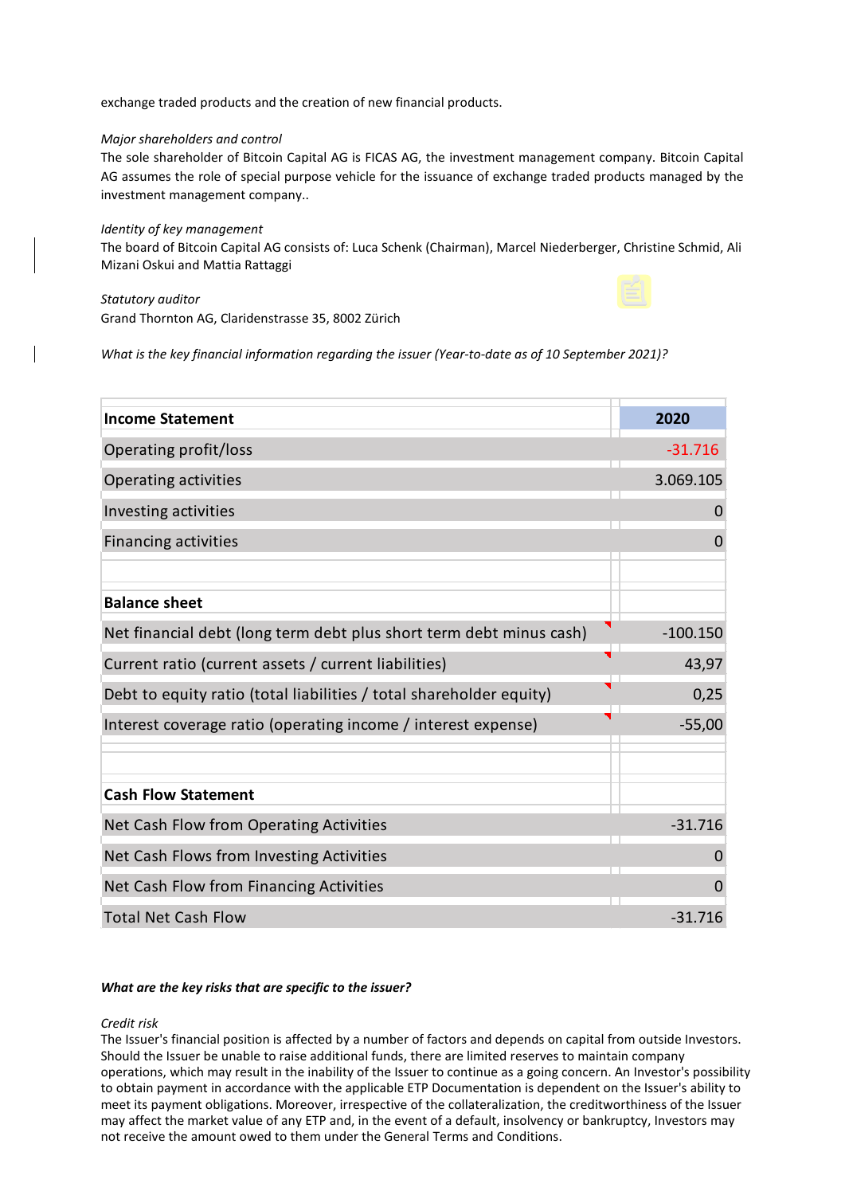exchange traded products and the creation of new financial products.

#### *Major shareholders and control*

The sole shareholder of Bitcoin Capital AG is FICAS AG, the investment management company. Bitcoin Capital AG assumes the role of special purpose vehicle for the issuance of exchange traded products managed by the investment management company..

#### *Identity of key management*

The board of Bitcoin Capital AG consists of: Luca Schenk (Chairman), Marcel Niederberger, Christine Schmid, Ali Mizani Oskui and Mattia Rattaggi

# *Statutory auditor* Grand Thornton AG, Claridenstrasse 35, 8002 Zürich

*What is the key financial information regarding the issuer (Year-to-date as of 10 September 2021)?*

| <b>Income Statement</b>                                             | 2020            |
|---------------------------------------------------------------------|-----------------|
| Operating profit/loss                                               | $-31.716$       |
| Operating activities                                                | 3.069.105       |
| Investing activities                                                | 0               |
| <b>Financing activities</b>                                         | $\Omega$        |
|                                                                     |                 |
| <b>Balance sheet</b>                                                |                 |
| Net financial debt (long term debt plus short term debt minus cash) | $-100.150$      |
| Current ratio (current assets / current liabilities)                | 4<br>43,97      |
| Debt to equity ratio (total liabilities / total shareholder equity) | 0,25            |
| Interest coverage ratio (operating income / interest expense)       | $-55,00$        |
|                                                                     |                 |
| <b>Cash Flow Statement</b>                                          |                 |
| Net Cash Flow from Operating Activities                             | $-31.716$       |
| Net Cash Flows from Investing Activities                            | $\overline{0}$  |
| Net Cash Flow from Financing Activities                             | $\mathbf 0$     |
| <b>Total Net Cash Flow</b>                                          | l.<br>$-31.716$ |

#### *What are the key risks that are specific to the issuer?*

#### *Credit risk*

The Issuer's financial position is affected by a number of factors and depends on capital from outside Investors. Should the Issuer be unable to raise additional funds, there are limited reserves to maintain company operations, which may result in the inability of the Issuer to continue as a going concern. An Investor's possibility to obtain payment in accordance with the applicable ETP Documentation is dependent on the Issuer's ability to meet its payment obligations. Moreover, irrespective of the collateralization, the creditworthiness of the Issuer may affect the market value of any ETP and, in the event of a default, insolvency or bankruptcy, Investors may not receive the amount owed to them under the General Terms and Conditions.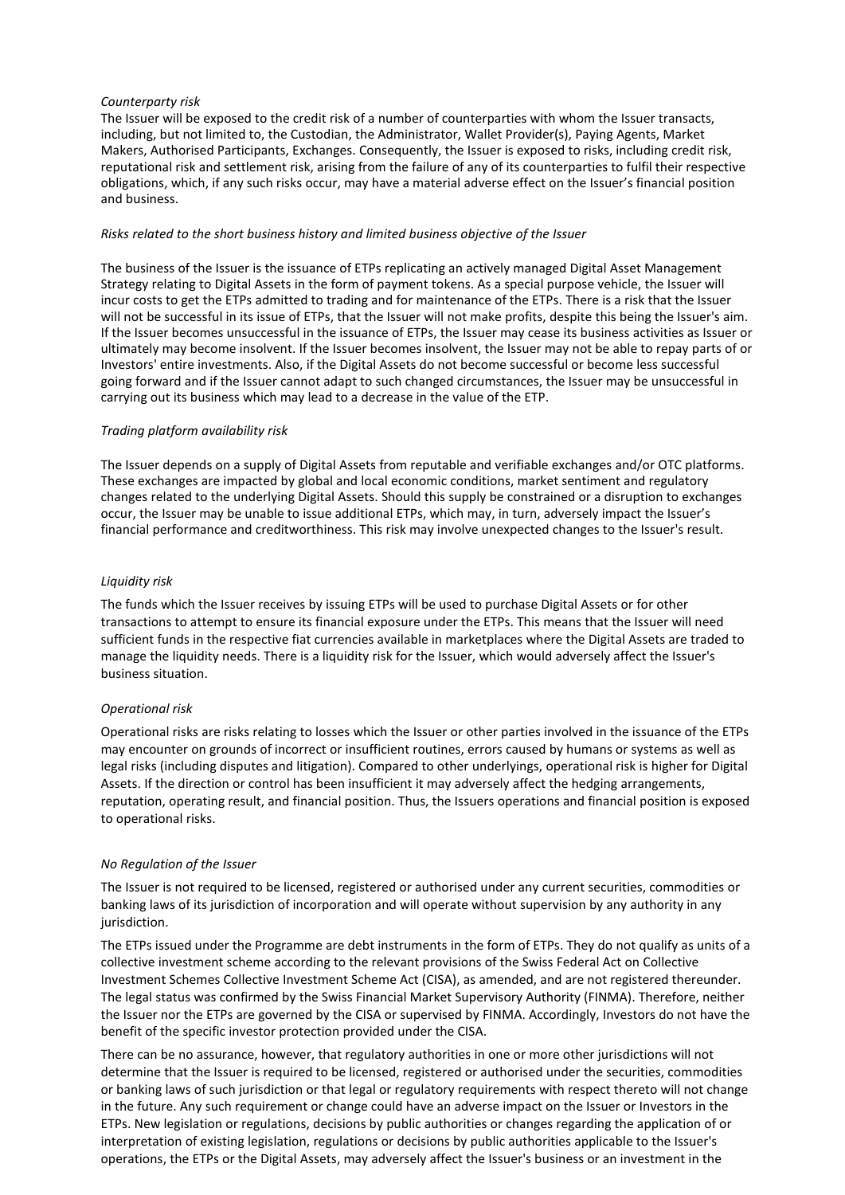#### *Counterparty risk*

The Issuer will be exposed to the credit risk of a number of counterparties with whom the Issuer transacts, including, but not limited to, the Custodian, the Administrator, Wallet Provider(s), Paying Agents, Market Makers, Authorised Participants, Exchanges. Consequently, the Issuer is exposed to risks, including credit risk, reputational risk and settlement risk, arising from the failure of any of its counterparties to fulfil their respective obligations, which, if any such risks occur, may have a material adverse effect on the Issuer's financial position and business.

#### *Risks related to the short business history and limited business objective of the Issuer*

The business of the Issuer is the issuance of ETPs replicating an actively managed Digital Asset Management Strategy relating to Digital Assets in the form of payment tokens. As a special purpose vehicle, the Issuer will incur costs to get the ETPs admitted to trading and for maintenance of the ETPs. There is a risk that the Issuer will not be successful in its issue of ETPs, that the Issuer will not make profits, despite this being the Issuer's aim. If the Issuer becomes unsuccessful in the issuance of ETPs, the Issuer may cease its business activities as Issuer or ultimately may become insolvent. If the Issuer becomes insolvent, the Issuer may not be able to repay parts of or Investors' entire investments. Also, if the Digital Assets do not become successful or become less successful going forward and if the Issuer cannot adapt to such changed circumstances, the Issuer may be unsuccessful in carrying out its business which may lead to a decrease in the value of the ETP.

#### *Trading platform availability risk*

The Issuer depends on a supply of Digital Assets from reputable and verifiable exchanges and/or OTC platforms. These exchanges are impacted by global and local economic conditions, market sentiment and regulatory changes related to the underlying Digital Assets. Should this supply be constrained or a disruption to exchanges occur, the Issuer may be unable to issue additional ETPs, which may, in turn, adversely impact the Issuer's financial performance and creditworthiness. This risk may involve unexpected changes to the Issuer's result.

#### *Liquidity risk*

The funds which the Issuer receives by issuing ETPs will be used to purchase Digital Assets or for other transactions to attempt to ensure its financial exposure under the ETPs. This means that the Issuer will need sufficient funds in the respective fiat currencies available in marketplaces where the Digital Assets are traded to manage the liquidity needs. There is a liquidity risk for the Issuer, which would adversely affect the Issuer's business situation.

## *Operational risk*

Operational risks are risks relating to losses which the Issuer or other parties involved in the issuance of the ETPs may encounter on grounds of incorrect or insufficient routines, errors caused by humans or systems as well as legal risks (including disputes and litigation). Compared to other underlyings, operational risk is higher for Digital Assets. If the direction or control has been insufficient it may adversely affect the hedging arrangements, reputation, operating result, and financial position. Thus, the Issuers operations and financial position is exposed to operational risks.

## *No Regulation of the Issuer*

The Issuer is not required to be licensed, registered or authorised under any current securities, commodities or banking laws of its jurisdiction of incorporation and will operate without supervision by any authority in any jurisdiction.

The ETPs issued under the Programme are debt instruments in the form of ETPs. They do not qualify as units of a collective investment scheme according to the relevant provisions of the Swiss Federal Act on Collective Investment Schemes Collective Investment Scheme Act (CISA), as amended, and are not registered thereunder. The legal status was confirmed by the Swiss Financial Market Supervisory Authority (FINMA). Therefore, neither the Issuer nor the ETPs are governed by the CISA or supervised by FINMA. Accordingly, Investors do not have the benefit of the specific investor protection provided under the CISA.

There can be no assurance, however, that regulatory authorities in one or more other jurisdictions will not determine that the Issuer is required to be licensed, registered or authorised under the securities, commodities or banking laws of such jurisdiction or that legal or regulatory requirements with respect thereto will not change in the future. Any such requirement or change could have an adverse impact on the Issuer or Investors in the ETPs. New legislation or regulations, decisions by public authorities or changes regarding the application of or interpretation of existing legislation, regulations or decisions by public authorities applicable to the Issuer's operations, the ETPs or the Digital Assets, may adversely affect the Issuer's business or an investment in the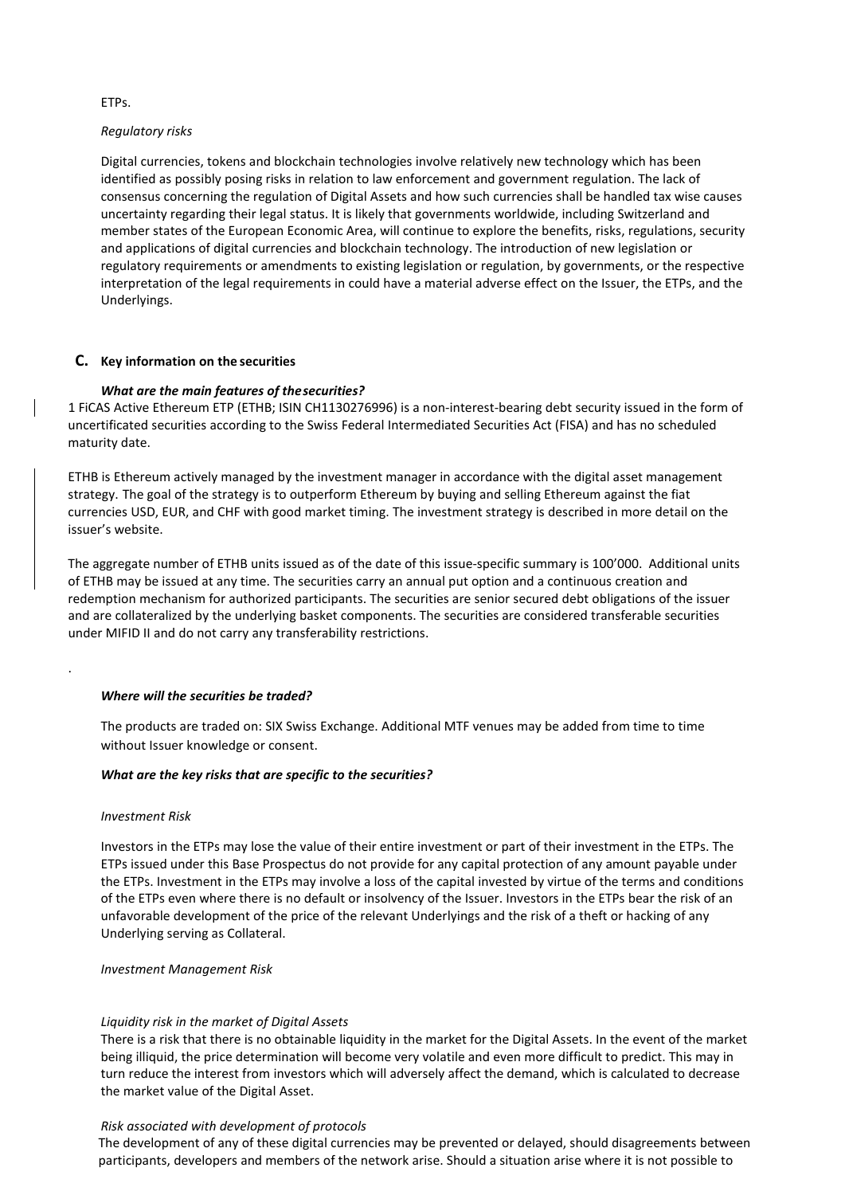#### ETPs.

#### *Regulatory risks*

Digital currencies, tokens and blockchain technologies involve relatively new technology which has been identified as possibly posing risks in relation to law enforcement and government regulation. The lack of consensus concerning the regulation of Digital Assets and how such currencies shall be handled tax wise causes uncertainty regarding their legal status. It is likely that governments worldwide, including Switzerland and member states of the European Economic Area, will continue to explore the benefits, risks, regulations, security and applications of digital currencies and blockchain technology. The introduction of new legislation or regulatory requirements or amendments to existing legislation or regulation, by governments, or the respective interpretation of the legal requirements in could have a material adverse effect on the Issuer, the ETPs, and the Underlyings.

## **C. Key information on the securities**

# *What are the main features of thesecurities?*

1 FiCAS Active Ethereum ETP (ETHB; ISIN CH1130276996) is a non-interest-bearing debt security issued in the form of uncertificated securities according to the Swiss Federal Intermediated Securities Act (FISA) and has no scheduled maturity date.

ETHB is Ethereum actively managed by the investment manager in accordance with the digital asset management strategy. The goal of the strategy is to outperform Ethereum by buying and selling Ethereum against the fiat currencies USD, EUR, and CHF with good market timing. The investment strategy is described in more detail on the issuer's website.

The aggregate number of ETHB units issued as of the date of this issue-specific summary is 100'000. Additional units of ETHB may be issued at any time. The securities carry an annual put option and a continuous creation and redemption mechanism for authorized participants. The securities are senior secured debt obligations of the issuer and are collateralized by the underlying basket components. The securities are considered transferable securities under MIFID II and do not carry any transferability restrictions.

## *Where will the securities be traded?*

The products are traded on: SIX Swiss Exchange. Additional MTF venues may be added from time to time without Issuer knowledge or consent.

## *What are the key risks that are specific to the securities?*

#### *Investment Risk*

.

Investors in the ETPs may lose the value of their entire investment or part of their investment in the ETPs. The ETPs issued under this Base Prospectus do not provide for any capital protection of any amount payable under the ETPs. Investment in the ETPs may involve a loss of the capital invested by virtue of the terms and conditions of the ETPs even where there is no default or insolvency of the Issuer. Investors in the ETPs bear the risk of an unfavorable development of the price of the relevant Underlyings and the risk of a theft or hacking of any Underlying serving as Collateral.

*Investment Management Risk*

## *Liquidity risk in the market of Digital Assets*

There is a risk that there is no obtainable liquidity in the market for the Digital Assets. In the event of the market being illiquid, the price determination will become very volatile and even more difficult to predict. This may in turn reduce the interest from investors which will adversely affect the demand, which is calculated to decrease the market value of the Digital Asset.

## *Risk associated with development of protocols*

The development of any of these digital currencies may be prevented or delayed, should disagreements between participants, developers and members of the network arise. Should a situation arise where it is not possible to